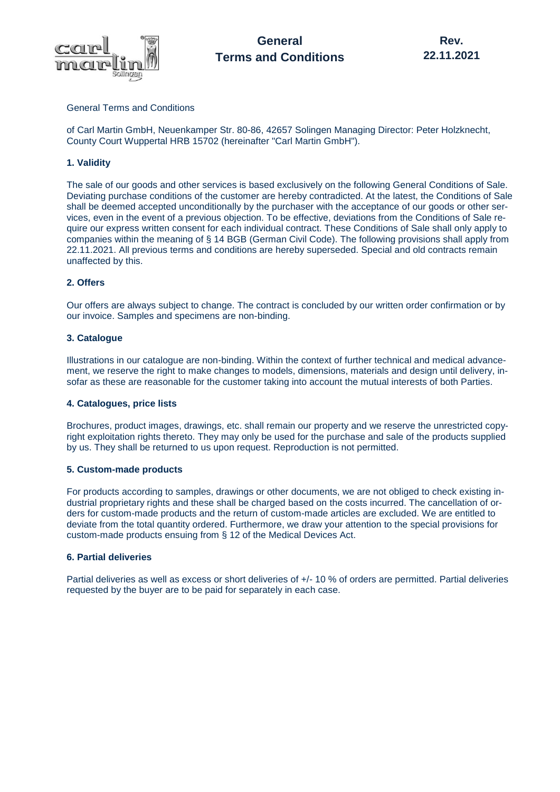

## General Terms and Conditions

of Carl Martin GmbH, Neuenkamper Str. 80-86, 42657 Solingen Managing Director: Peter Holzknecht, County Court Wuppertal HRB 15702 (hereinafter "Carl Martin GmbH").

## **1. Validity**

The sale of our goods and other services is based exclusively on the following General Conditions of Sale. Deviating purchase conditions of the customer are hereby contradicted. At the latest, the Conditions of Sale shall be deemed accepted unconditionally by the purchaser with the acceptance of our goods or other services, even in the event of a previous objection. To be effective, deviations from the Conditions of Sale require our express written consent for each individual contract. These Conditions of Sale shall only apply to companies within the meaning of § 14 BGB (German Civil Code). The following provisions shall apply from 22.11.2021. All previous terms and conditions are hereby superseded. Special and old contracts remain unaffected by this.

# **2. Offers**

Our offers are always subject to change. The contract is concluded by our written order confirmation or by our invoice. Samples and specimens are non-binding.

## **3. Catalogue**

Illustrations in our catalogue are non-binding. Within the context of further technical and medical advancement, we reserve the right to make changes to models, dimensions, materials and design until delivery, insofar as these are reasonable for the customer taking into account the mutual interests of both Parties.

## **4. Catalogues, price lists**

Brochures, product images, drawings, etc. shall remain our property and we reserve the unrestricted copyright exploitation rights thereto. They may only be used for the purchase and sale of the products supplied by us. They shall be returned to us upon request. Reproduction is not permitted.

## **5. Custom-made products**

For products according to samples, drawings or other documents, we are not obliged to check existing industrial proprietary rights and these shall be charged based on the costs incurred. The cancellation of orders for custom-made products and the return of custom-made articles are excluded. We are entitled to deviate from the total quantity ordered. Furthermore, we draw your attention to the special provisions for custom-made products ensuing from § 12 of the Medical Devices Act.

## **6. Partial deliveries**

Partial deliveries as well as excess or short deliveries of +/- 10 % of orders are permitted. Partial deliveries requested by the buyer are to be paid for separately in each case.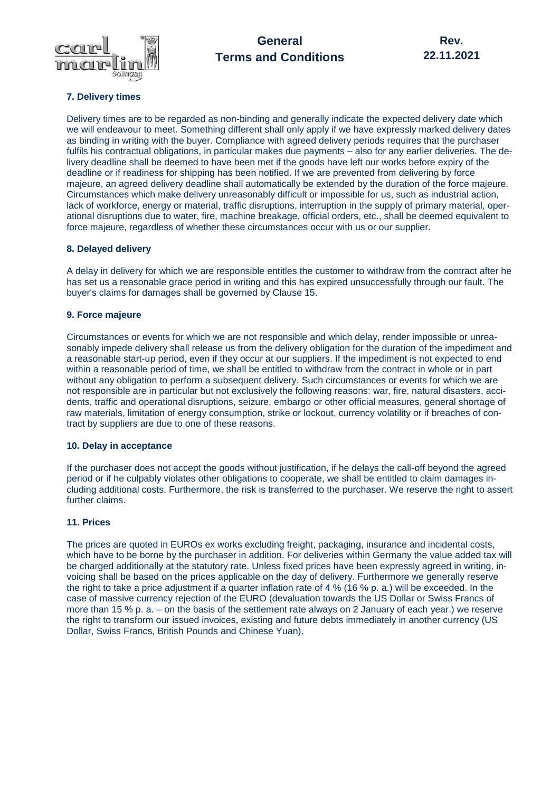

# **General Terms and Conditions**

# **7. Delivery times**

Delivery times are to be regarded as non-binding and generally indicate the expected delivery date which we will endeavour to meet. Something different shall only apply if we have expressly marked delivery dates as binding in writing with the buyer. Compliance with agreed delivery periods requires that the purchaser fulfils his contractual obligations, in particular makes due payments – also for any earlier deliveries. The delivery deadline shall be deemed to have been met if the goods have left our works before expiry of the deadline or if readiness for shipping has been notified. If we are prevented from delivering by force majeure, an agreed delivery deadline shall automatically be extended by the duration of the force majeure. Circumstances which make delivery unreasonably difficult or impossible for us, such as industrial action, lack of workforce, energy or material, traffic disruptions, interruption in the supply of primary material, operational disruptions due to water, fire, machine breakage, official orders, etc., shall be deemed equivalent to force majeure, regardless of whether these circumstances occur with us or our supplier.

## **8. Delayed delivery**

A delay in delivery for which we are responsible entitles the customer to withdraw from the contract after he has set us a reasonable grace period in writing and this has expired unsuccessfully through our fault. The buyer's claims for damages shall be governed by Clause 15.

# **9. Force majeure**

Circumstances or events for which we are not responsible and which delay, render impossible or unreasonably impede delivery shall release us from the delivery obligation for the duration of the impediment and a reasonable start-up period, even if they occur at our suppliers. If the impediment is not expected to end within a reasonable period of time, we shall be entitled to withdraw from the contract in whole or in part without any obligation to perform a subsequent delivery. Such circumstances or events for which we are not responsible are in particular but not exclusively the following reasons: war, fire, natural disasters, accidents, traffic and operational disruptions, seizure, embargo or other official measures, general shortage of raw materials, limitation of energy consumption, strike or lockout, currency volatility or if breaches of contract by suppliers are due to one of these reasons.

## **10. Delay in acceptance**

If the purchaser does not accept the goods without justification, if he delays the call-off beyond the agreed period or if he culpably violates other obligations to cooperate, we shall be entitled to claim damages including additional costs. Furthermore, the risk is transferred to the purchaser. We reserve the right to assert further claims.

# **11. Prices**

The prices are quoted in EUROs ex works excluding freight, packaging, insurance and incidental costs, which have to be borne by the purchaser in addition. For deliveries within Germany the value added tax will be charged additionally at the statutory rate. Unless fixed prices have been expressly agreed in writing, invoicing shall be based on the prices applicable on the day of delivery. Furthermore we generally reserve the right to take a price adjustment if a quarter inflation rate of 4 % (16 % p. a.) will be exceeded. In the case of massive currency rejection of the EURO (devaluation towards the US Dollar or Swiss Francs of more than 15 % p. a. – on the basis of the settlement rate always on 2 January of each year.) we reserve the right to transform our issued invoices, existing and future debts immediately in another currency (US Dollar, Swiss Francs, British Pounds and Chinese Yuan).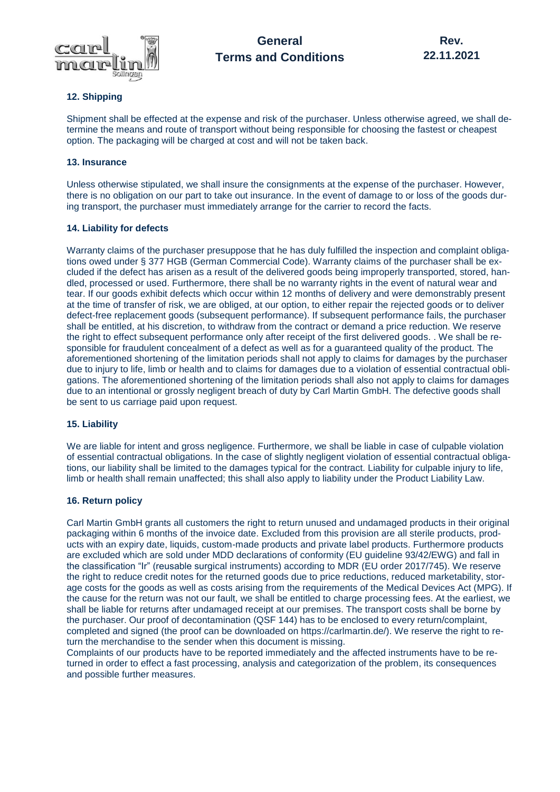

# **12. Shipping**

Shipment shall be effected at the expense and risk of the purchaser. Unless otherwise agreed, we shall determine the means and route of transport without being responsible for choosing the fastest or cheapest option. The packaging will be charged at cost and will not be taken back.

## **13. Insurance**

Unless otherwise stipulated, we shall insure the consignments at the expense of the purchaser. However, there is no obligation on our part to take out insurance. In the event of damage to or loss of the goods during transport, the purchaser must immediately arrange for the carrier to record the facts.

## **14. Liability for defects**

Warranty claims of the purchaser presuppose that he has duly fulfilled the inspection and complaint obligations owed under § 377 HGB (German Commercial Code). Warranty claims of the purchaser shall be excluded if the defect has arisen as a result of the delivered goods being improperly transported, stored, handled, processed or used. Furthermore, there shall be no warranty rights in the event of natural wear and tear. If our goods exhibit defects which occur within 12 months of delivery and were demonstrably present at the time of transfer of risk, we are obliged, at our option, to either repair the rejected goods or to deliver defect-free replacement goods (subsequent performance). If subsequent performance fails, the purchaser shall be entitled, at his discretion, to withdraw from the contract or demand a price reduction. We reserve the right to effect subsequent performance only after receipt of the first delivered goods. . We shall be responsible for fraudulent concealment of a defect as well as for a guaranteed quality of the product. The aforementioned shortening of the limitation periods shall not apply to claims for damages by the purchaser due to injury to life, limb or health and to claims for damages due to a violation of essential contractual obligations. The aforementioned shortening of the limitation periods shall also not apply to claims for damages due to an intentional or grossly negligent breach of duty by Carl Martin GmbH. The defective goods shall be sent to us carriage paid upon request.

## **15. Liability**

We are liable for intent and gross negligence. Furthermore, we shall be liable in case of culpable violation of essential contractual obligations. In the case of slightly negligent violation of essential contractual obligations, our liability shall be limited to the damages typical for the contract. Liability for culpable injury to life, limb or health shall remain unaffected; this shall also apply to liability under the Product Liability Law.

## **16. Return policy**

Carl Martin GmbH grants all customers the right to return unused and undamaged products in their original packaging within 6 months of the invoice date. Excluded from this provision are all sterile products, products with an expiry date, liquids, custom-made products and private label products. Furthermore products are excluded which are sold under MDD declarations of conformity (EU guideline 93/42/EWG) and fall in the classification "Ir" (reusable surgical instruments) according to MDR (EU order 2017/745). We reserve the right to reduce credit notes for the returned goods due to price reductions, reduced marketability, storage costs for the goods as well as costs arising from the requirements of the Medical Devices Act (MPG). If the cause for the return was not our fault, we shall be entitled to charge processing fees. At the earliest, we shall be liable for returns after undamaged receipt at our premises. The transport costs shall be borne by the purchaser. Our proof of decontamination (QSF 144) has to be enclosed to every return/complaint, completed and signed (the proof can be downloaded on https://carlmartin.de/). We reserve the right to return the merchandise to the sender when this document is missing.

Complaints of our products have to be reported immediately and the affected instruments have to be returned in order to effect a fast processing, analysis and categorization of the problem, its consequences and possible further measures.